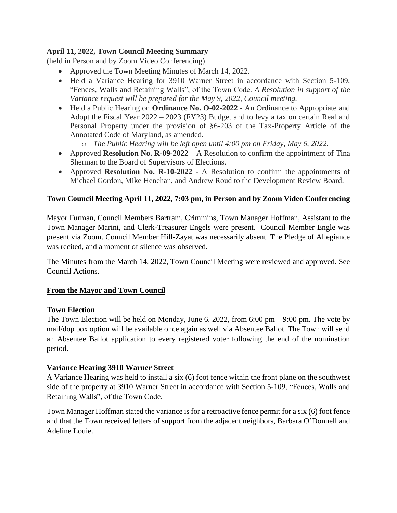## **April 11, 2022, Town Council Meeting Summary**

(held in Person and by Zoom Video Conferencing)

- Approved the Town Meeting Minutes of March 14, 2022.
- Held a Variance Hearing for 3910 Warner Street in accordance with Section 5-109, "Fences, Walls and Retaining Walls", of the Town Code. *A Resolution in support of the Variance request will be prepared for the May 9, 2022, Council meeting.*
- Held a Public Hearing on **[Ordinance No. O-02-2022](https://r20.rs6.net/tn.jsp?f=001jPDsWhEJoskDCGPOEgETpJdARGBn779dH8WyTvdaAtYF71IIM97ServvaaHwD9p0AvvumP6XsMJ8Lb44fxyFgSlGv1ukQV18CBBpwevAzlq4cFEWImIYKaNIye6fOOD0MikGKzfzPEUqT3vzojHy3wNElZnQBmG-znoU-feCVOzyyhTAM84Hm8b_h1EYODA3BK7p9ezAn2CT7BGBzBoek1GRQHADjQwk6aTPZSK5o4TpNYIe9YnZt78BHkfKdfWG&c=J6pNeSR6b9oMLgPBNs1ReZjckvScfVc-eWm-JVwr-ztDY4AOYPrZbA==&ch=eC1LXLvQkr_4LCm6MkX2f6K1OonCpyD1iDKnmk3bmaKTVmnKatpP9g==)** An Ordinance to Appropriate and Adopt the Fiscal Year 2022 – 2023 (FY23) Budget and to levy a tax on certain Real and Personal Property under the provision of §6-203 of the Tax-Property Article of the Annotated Code of Maryland, as amended.
	- o *The Public Hearing will be left open until 4:00 pm on Friday, May 6, 2022.*
- Approved **Resolution No. R-09-2022** A Resolution to confirm the appointment of Tina Sherman to the Board of Supervisors of Elections.
- Approved **Resolution No. R-10-2022** A Resolution to confirm the appointments of Michael Gordon, Mike Henehan, and Andrew Roud to the Development Review Board.

## **Town Council Meeting April 11, 2022, 7:03 pm, in Person and by Zoom Video Conferencing**

Mayor Furman, Council Members Bartram, Crimmins, Town Manager Hoffman, Assistant to the Town Manager Marini, and Clerk-Treasurer Engels were present. Council Member Engle was present via Zoom. Council Member Hill-Zayat was necessarily absent. The Pledge of Allegiance was recited, and a moment of silence was observed.

The Minutes from the March 14, 2022, Town Council Meeting were reviewed and approved. See Council Actions.

### **From the Mayor and Town Council**

### **Town Election**

The Town Election will be held on Monday, June 6, 2022, from 6:00 pm  $-$  9:00 pm. The vote by mail/dop box option will be available once again as well via Absentee Ballot. The Town will send an Absentee Ballot application to every registered voter following the end of the nomination period.

### **Variance Hearing 3910 Warner Street**

A Variance Hearing was held to install a six (6) foot fence within the front plane on the southwest side of the property at 3910 Warner Street in accordance with Section 5-109, "Fences, Walls and Retaining Walls", of the Town Code.

Town Manager Hoffman stated the variance is for a retroactive fence permit for a six (6) foot fence and that the Town received letters of support from the adjacent neighbors, Barbara O'Donnell and Adeline Louie.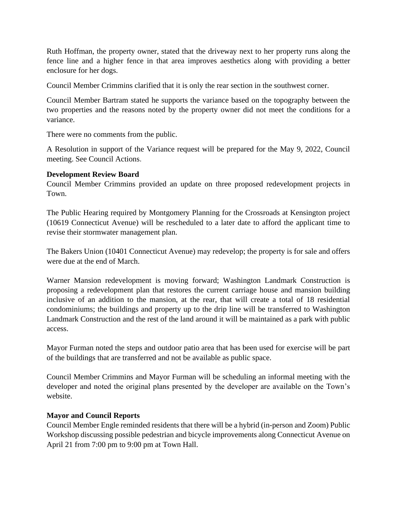Ruth Hoffman, the property owner, stated that the driveway next to her property runs along the fence line and a higher fence in that area improves aesthetics along with providing a better enclosure for her dogs.

Council Member Crimmins clarified that it is only the rear section in the southwest corner.

Council Member Bartram stated he supports the variance based on the topography between the two properties and the reasons noted by the property owner did not meet the conditions for a variance.

There were no comments from the public.

A Resolution in support of the Variance request will be prepared for the May 9, 2022, Council meeting. See Council Actions.

#### **Development Review Board**

Council Member Crimmins provided an update on three proposed redevelopment projects in Town.

The Public Hearing required by Montgomery Planning for the Crossroads at Kensington project (10619 Connecticut Avenue) will be rescheduled to a later date to afford the applicant time to revise their stormwater management plan.

The Bakers Union (10401 Connecticut Avenue) may redevelop; the property is for sale and offers were due at the end of March.

Warner Mansion redevelopment is moving forward; Washington Landmark Construction is proposing a redevelopment plan that restores the current carriage house and mansion building inclusive of an addition to the mansion, at the rear, that will create a total of 18 residential condominiums; the buildings and property up to the drip line will be transferred to Washington Landmark Construction and the rest of the land around it will be maintained as a park with public access.

Mayor Furman noted the steps and outdoor patio area that has been used for exercise will be part of the buildings that are transferred and not be available as public space.

Council Member Crimmins and Mayor Furman will be scheduling an informal meeting with the developer and noted the original plans presented by the developer are available on the Town's website.

### **Mayor and Council Reports**

Council Member Engle reminded residents that there will be a hybrid (in-person and Zoom) Public Workshop discussing possible pedestrian and bicycle improvements along Connecticut Avenue on April 21 from 7:00 pm to 9:00 pm at Town Hall.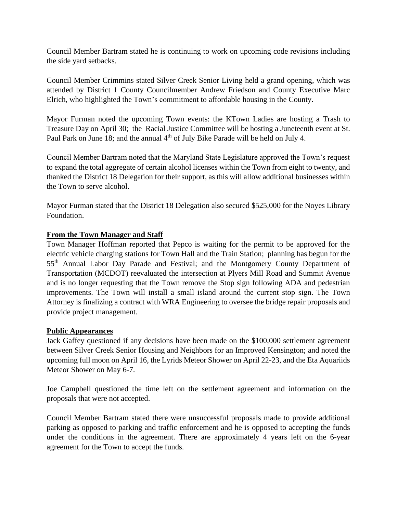Council Member Bartram stated he is continuing to work on upcoming code revisions including the side yard setbacks.

Council Member Crimmins stated Silver Creek Senior Living held a grand opening, which was attended by District 1 County Councilmember Andrew Friedson and County Executive Marc Elrich, who highlighted the Town's commitment to affordable housing in the County.

Mayor Furman noted the upcoming Town events: the KTown Ladies are hosting a Trash to Treasure Day on April 30; the Racial Justice Committee will be hosting a Juneteenth event at St. Paul Park on June 18; and the annual 4<sup>th</sup> of July Bike Parade will be held on July 4.

Council Member Bartram noted that the Maryland State Legislature approved the Town's request to expand the total aggregate of certain alcohol licenses within the Town from eight to twenty, and thanked the District 18 Delegation for their support, as this will allow additional businesses within the Town to serve alcohol.

Mayor Furman stated that the District 18 Delegation also secured \$525,000 for the Noyes Library Foundation.

### **From the Town Manager and Staff**

Town Manager Hoffman reported that Pepco is waiting for the permit to be approved for the electric vehicle charging stations for Town Hall and the Train Station; planning has begun for the 55th Annual Labor Day Parade and Festival; and the Montgomery County Department of Transportation (MCDOT) reevaluated the intersection at Plyers Mill Road and Summit Avenue and is no longer requesting that the Town remove the Stop sign following ADA and pedestrian improvements. The Town will install a small island around the current stop sign. The Town Attorney is finalizing a contract with WRA Engineering to oversee the bridge repair proposals and provide project management.

### **Public Appearances**

Jack Gaffey questioned if any decisions have been made on the \$100,000 settlement agreement between Silver Creek Senior Housing and Neighbors for an Improved Kensington; and noted the upcoming full moon on April 16, the Lyrids Meteor Shower on April 22-23, and the Eta Aquariids Meteor Shower on May 6-7.

Joe Campbell questioned the time left on the settlement agreement and information on the proposals that were not accepted.

Council Member Bartram stated there were unsuccessful proposals made to provide additional parking as opposed to parking and traffic enforcement and he is opposed to accepting the funds under the conditions in the agreement. There are approximately 4 years left on the 6-year agreement for the Town to accept the funds.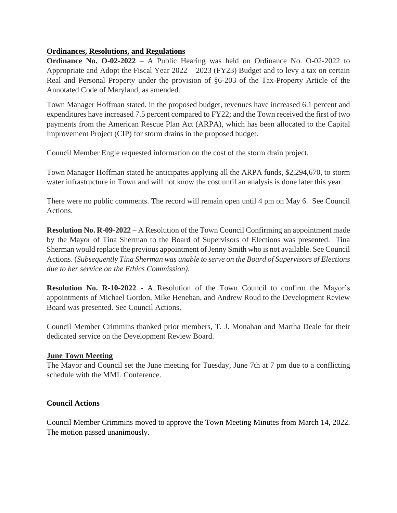### **Ordinances, Resolutions, and Regulations**

**[Ordinance No. O-02-2022](https://r20.rs6.net/tn.jsp?f=001jPDsWhEJoskDCGPOEgETpJdARGBn779dH8WyTvdaAtYF71IIM97ServvaaHwD9p0AvvumP6XsMJ8Lb44fxyFgSlGv1ukQV18CBBpwevAzlq4cFEWImIYKaNIye6fOOD0MikGKzfzPEUqT3vzojHy3wNElZnQBmG-znoU-feCVOzyyhTAM84Hm8b_h1EYODA3BK7p9ezAn2CT7BGBzBoek1GRQHADjQwk6aTPZSK5o4TpNYIe9YnZt78BHkfKdfWG&c=J6pNeSR6b9oMLgPBNs1ReZjckvScfVc-eWm-JVwr-ztDY4AOYPrZbA==&ch=eC1LXLvQkr_4LCm6MkX2f6K1OonCpyD1iDKnmk3bmaKTVmnKatpP9g==)** – A Public Hearing was held on Ordinance No. O-02-2022 to Appropriate and Adopt the Fiscal Year 2022 – 2023 (FY23) Budget and to levy a tax on certain Real and Personal Property under the provision of §6-203 of the Tax-Property Article of the Annotated Code of Maryland, as amended.

Town Manager Hoffman stated, in the proposed budget, revenues have increased 6.1 percent and expenditures have increased 7.5 percent compared to FY22; and the Town received the first of two payments from the American Rescue Plan Act (ARPA), which has been allocated to the Capital Improvement Project (CIP) for storm drains in the proposed budget.

Council Member Engle requested information on the cost of the storm drain project.

Town Manager Hoffman stated he anticipates applying all the ARPA funds, \$2,294,670, to storm water infrastructure in Town and will not know the cost until an analysis is done later this year.

There were no public comments. The record will remain open until 4 pm on May 6. See Council Actions.

**Resolution No. R-09-2022 –** A Resolution of the Town Council Confirming an appointment made by the Mayor of Tina Sherman to the Board of Supervisors of Elections was presented. Tina Sherman would replace the previous appointment of Jenny Smith who is not available. See Council Actions. (*Subsequently Tina Sherman was unable to serve on the Board of Supervisors of Elections due to her service on the Ethics Commission).*

**Resolution No. R-10-2022** - A Resolution of the Town Council to confirm the Mayor's appointments of Michael Gordon, Mike Henehan, and Andrew Roud to the Development Review Board was presented. See Council Actions.

Council Member Crimmins thanked prior members, T. J. Monahan and Martha Deale for their dedicated service on the Development Review Board.

### **June Town Meeting**

The Mayor and Council set the June meeting for Tuesday, June 7th at 7 pm due to a conflicting schedule with the MML Conference.

# **Council Actions**

Council Member Crimmins moved to approve the Town Meeting Minutes from March 14, 2022. The motion passed unanimously.